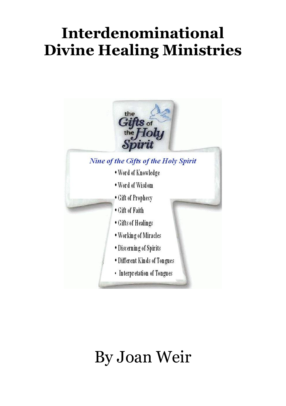# **Interdenominational Divine Healing Ministries**



# By Joan Weir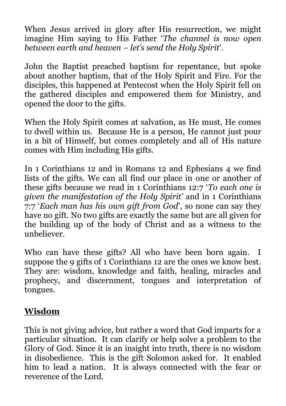When Jesus arrived in glory after His resurrection, we might imagine Him saying to His Father '*The channel is now open between earth and heaven – let's send the Holy Spirit*'.

John the Baptist preached baptism for repentance, but spoke about another baptism, that of the Holy Spirit and Fire. For the disciples, this happened at Pentecost when the Holy Spirit fell on the gathered disciples and empowered them for Ministry, and opened the door to the gifts.

When the Holy Spirit comes at salvation, as He must, He comes to dwell within us. Because He is a person, He cannot just pour in a bit of Himself, but comes completely and all of His nature comes with Him including His gifts.

In 1 Corinthians 12 and in Romans 12 and Ephesians 4 we find lists of the gifts. We can all find our place in one or another of these gifts because we read in 1 Corinthians 12:7 '*To each one is given the manifestation of the Holy Spirit'* and in 1 Corinthians 7:7 '*Each man has his own gift from God*', so none can say they have no gift. No two gifts are exactly the same but are all given for the building up of the body of Christ and as a witness to the unbeliever.

Who can have these gifts? All who have been born again. I suppose the 9 gifts of 1 Corinthians 12 are the ones we know best. They are: wisdom, knowledge and faith, healing, miracles and prophecy, and discernment, tongues and interpretation of tongues.

#### **Wisdom**

This is not giving advice, but rather a word that God imparts for a particular situation. It can clarify or help solve a problem to the Glory of God. Since it is an insight into truth, there is no wisdom in disobedience. This is the gift Solomon asked for. It enabled him to lead a nation. It is always connected with the fear or reverence of the Lord.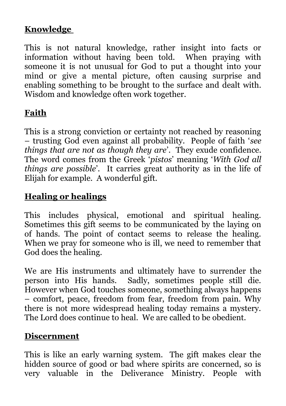#### **Knowledge**

This is not natural knowledge, rather insight into facts or information without having been told. When praying with someone it is not unusual for God to put a thought into your mind or give a mental picture, often causing surprise and enabling something to be brought to the surface and dealt with. Wisdom and knowledge often work together.

# **Faith**

This is a strong conviction or certainty not reached by reasoning – trusting God even against all probability. People of faith '*see things that are not as though they are*'. They exude confidence. The word comes from the Greek '*pistos*' meaning '*With God all things are possible*'. It carries great authority as in the life of Elijah for example. A wonderful gift.

#### **Healing or healings**

This includes physical, emotional and spiritual healing. Sometimes this gift seems to be communicated by the laying on of hands. The point of contact seems to release the healing. When we pray for someone who is ill, we need to remember that God does the healing.

We are His instruments and ultimately have to surrender the person into His hands. Sadly, sometimes people still die. However when God touches someone, something always happens – comfort, peace, freedom from fear, freedom from pain. Why there is not more widespread healing today remains a mystery. The Lord does continue to heal. We are called to be obedient.

#### **Discernment**

This is like an early warning system. The gift makes clear the hidden source of good or bad where spirits are concerned, so is very valuable in the Deliverance Ministry. People with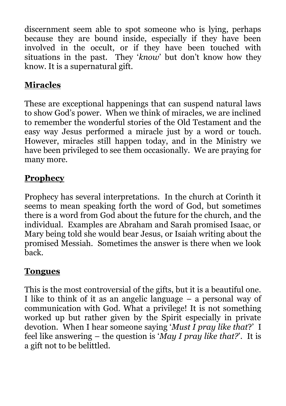discernment seem able to spot someone who is lying, perhaps because they are bound inside, especially if they have been involved in the occult, or if they have been touched with situations in the past. They '*know*' but don't know how they know. It is a supernatural gift.

#### **Miracles**

These are exceptional happenings that can suspend natural laws to show God's power. When we think of miracles, we are inclined to remember the wonderful stories of the Old Testament and the easy way Jesus performed a miracle just by a word or touch. However, miracles still happen today, and in the Ministry we have been privileged to see them occasionally. We are praying for many more.

#### **Prophecy**

Prophecy has several interpretations. In the church at Corinth it seems to mean speaking forth the word of God, but sometimes there is a word from God about the future for the church, and the individual. Examples are Abraham and Sarah promised Isaac, or Mary being told she would bear Jesus, or Isaiah writing about the promised Messiah. Sometimes the answer is there when we look back.

#### **Tongues**

This is the most controversial of the gifts, but it is a beautiful one. I like to think of it as an angelic language – a personal way of communication with God. What a privilege! It is not something worked up but rather given by the Spirit especially in private devotion. When I hear someone saying '*Must I pray like that*?' I feel like answering – the question is '*May I pray like that?*'. It is a gift not to be belittled.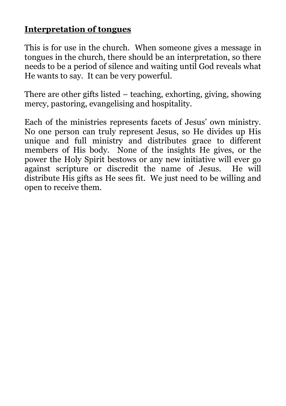#### **Interpretation of tongues**

This is for use in the church. When someone gives a message in tongues in the church, there should be an interpretation, so there needs to be a period of silence and waiting until God reveals what He wants to say. It can be very powerful.

There are other gifts listed – teaching, exhorting, giving, showing mercy, pastoring, evangelising and hospitality.

Each of the ministries represents facets of Jesus' own ministry. No one person can truly represent Jesus, so He divides up His unique and full ministry and distributes grace to different members of His body. None of the insights He gives, or the power the Holy Spirit bestows or any new initiative will ever go against scripture or discredit the name of Jesus. He will distribute His gifts as He sees fit. We just need to be willing and open to receive them.